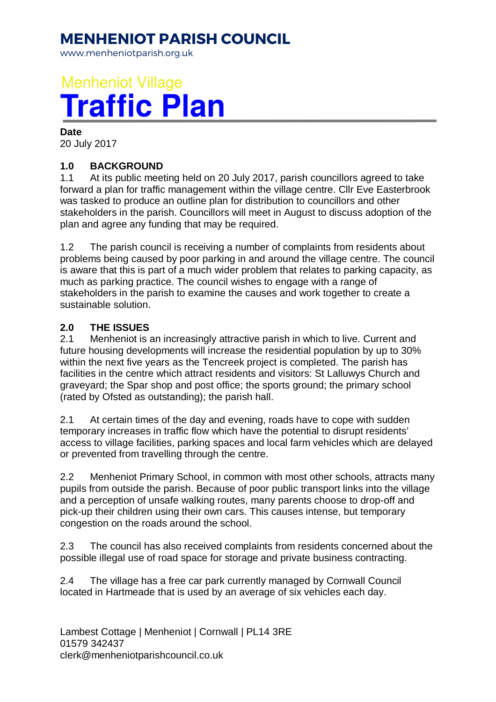## **MENHENIOT PARISH COUNCIL**

www.menheniotparish.org.uk

# **Menheniot Village Traffic Plan**

#### **Date**

20 July 2017

#### **1.0 BACKGROUND**

1.1 At its public meeting held on 20 July 2017, parish councillors agreed to take forward a plan for traffic management within the village centre. Cllr Eve Easterbrook was tasked to produce an outline plan for distribution to councillors and other stakeholders in the parish. Councillors will meet in August to discuss adoption of the plan and agree any funding that may be required.

1.2 The parish council is receiving a number of complaints from residents about problems being caused by poor parking in and around the village centre. The council is aware that this is part of a much wider problem that relates to parking capacity, as much as parking practice. The council wishes to engage with a range of stakeholders in the parish to examine the causes and work together to create a sustainable solution.

#### **2.0 THE ISSUES**

2.1 Menheniot is an increasingly attractive parish in which to live. Current and future housing developments will increase the residential population by up to 30% within the next five years as the Tencreek project is completed. The parish has facilities in the centre which attract residents and visitors: St Lalluwys Church and graveyard; the Spar shop and post office; the sports ground; the primary school (rated by Ofsted as outstanding); the parish hall.

2.1 At certain times of the day and evening, roads have to cope with sudden temporary increases in traffic flow which have the potential to disrupt residents' access to village facilities, parking spaces and local farm vehicles which are delayed or prevented from travelling through the centre.

2.2 Menheniot Primary School, in common with most other schools, attracts many pupils from outside the parish. Because of poor public transport links into the village and a perception of unsafe walking routes, many parents choose to drop-off and pick-up their children using their own cars. This causes intense, but temporary congestion on the roads around the school.

2.3 The council has also received complaints from residents concerned about the possible illegal use of road space for storage and private business contracting.

2.4 The village has a free car park currently managed by Cornwall Council located in Hartmeade that is used by an average of six vehicles each day.